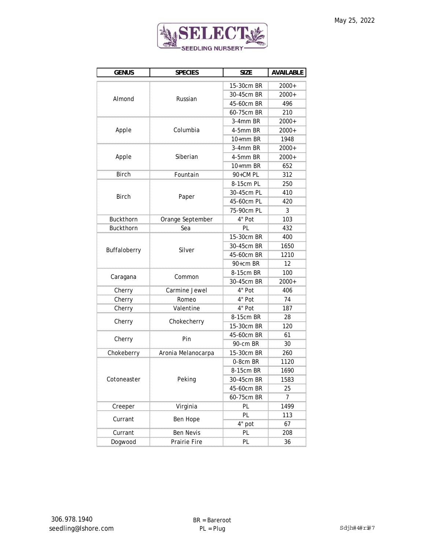

| <b>GENUS</b>     | <b>SPECIES</b>     | <b>SIZE</b> | <b>AVAILABLE</b> |
|------------------|--------------------|-------------|------------------|
| Almond           |                    | 15-30cm BR  | 2000+            |
|                  |                    | 30-45cm BR  | 2000+            |
|                  | Russian            | 45-60cm BR  | 496              |
|                  |                    | 60-75cm BR  | 210              |
|                  | Columbia           | 3-4mm BR    | 2000+            |
| Apple            |                    | 4-5mm BR    | 2000+            |
|                  |                    | $10+mm$ BR  | 1948             |
|                  | Siberian           | 3-4mm BR    | 2000+            |
| Apple            |                    | 4-5mm BR    | $2000+$          |
|                  |                    | 10+mm BR    | 652              |
| <b>Birch</b>     | Fountain           | 90+CM PL    | 312              |
|                  |                    | 8-15cm PL   | 250              |
|                  |                    | 30-45cm PL  | 410              |
| <b>Birch</b>     | Paper              | 45-60cm PL  | 420              |
|                  |                    | 75-90cm PL  | 3                |
| Buckthorn        | Orange September   | 4" Pot      | 103              |
| <b>Buckthorn</b> | Sea                | ΡI          | 432              |
|                  |                    | 15-30cm BR  | 400              |
|                  |                    | 30-45cm BR  | 1650             |
| Buffaloberry     | Silver             | 45-60cm BR  | 1210             |
|                  |                    | 90+cm BR    | 12               |
|                  | Common             | 8-15cm BR   | 100              |
| Caragana         |                    | 30-45cm BR  | $2000+$          |
| Cherry           | Carmine Jewel      | 4" Pot      | 406              |
| Cherry           | Romeo              | 4" Pot      | 74               |
| Cherry           | Valentine          | 4" Pot      | 187              |
| Cherry           | Chokecherry        | 8-15cm BR   | 28               |
|                  |                    | 15-30cm BR  | 120              |
| Cherry           | Pin                | 45-60cm BR  | 61               |
|                  |                    | 90-cm BR    | 30               |
| Chokeberry       | Aronia Melanocarpa | 15-30cm BR  | 260              |
|                  |                    | 0-8cm BR    | 1120             |
|                  | Peking             | 8-15cm BR   | 1690             |
| Cotoneaster      |                    | 30-45CM BR  | 1583             |
|                  |                    | 45-60cm BR  | 25               |
|                  |                    | 60-75cm BR  | 7                |
| Creeper          | Virginia           | PL          | 1499             |
| Currant          | Ben Hope           | ΡI          | 113              |
|                  |                    | 4" pot      | 67               |
| Currant          | <b>Ben Nevis</b>   | PL          | 208              |
| Dogwood          | Prairie Fire       | PL          | 36               |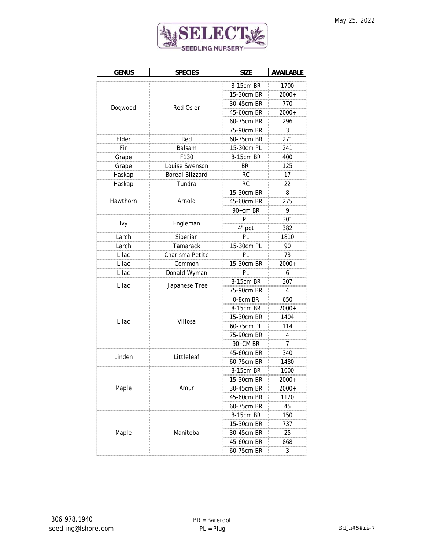

| <b>GENUS</b> | <b>SPECIES</b>         | <b>SIZE</b> | <b>AVAILABLE</b> |
|--------------|------------------------|-------------|------------------|
| Dogwood      |                        | 8-15cm BR   | 1700             |
|              |                        | 15-30cm BR  | $2000+$          |
|              |                        | 30-45cm BR  | 770              |
|              | <b>Red Osier</b>       | 45-60cm BR  | 2000+            |
|              |                        | 60-75cm BR  | 296              |
|              |                        | 75-90cm BR  | 3                |
| Elder        | Red                    | 60-75cm BR  | 271              |
| Fir          | Balsam                 | 15-30cm PL  | 241              |
| Grape        | F130                   | 8-15cm BR   | 400              |
| Grape        | Louise Swenson         | BR          | 125              |
| Haskap       | <b>Boreal Blizzard</b> | <b>RC</b>   | 17               |
| Haskap       | Tundra                 | RC          | 22               |
|              |                        | 15-30cm BR  | 8                |
| Hawthorn     | Arnold                 | 45-60cm BR  | 275              |
|              |                        | 90+cm BR    | 9                |
|              |                        | PI          | 301              |
| <u>lvy</u>   | Engleman               | 4" pot      | 382              |
| Larch        | Siberian               | PL          | 1810             |
| Larch        | Tamarack               | 15-30cm PL  | 90               |
| Lilac        | Charisma Petite        | PL          | 73               |
| Lilac        | Common                 | 15-30cm BR  | 2000+            |
| Lilac        | Donald Wyman           | PL          | 6                |
| Lilac        |                        | 8-15cm BR   | 307              |
|              | Japanese Tree          | 75-90cm BR  | 4                |
|              |                        | 0-8cm BR    | 650              |
|              | Villosa                | 8-15cm BR   | 2000+            |
| Lilac        |                        | 15-30cm BR  | 1404             |
|              |                        | 60-75cm PL  | 114              |
|              |                        | 75-90cm BR  | 4<br>mmm         |
|              |                        | 90+CM BR    | $\overline{7}$   |
| Linden       | Littleleaf             | 45-60cm BR  | 340              |
|              |                        | 60-75cm BR  | 1480             |
|              | Amur                   | 8-15cm BR   | 1000             |
|              |                        | 15-30cm BR  | 2000+            |
| Maple        |                        | 30-45cm BR  | 2000+            |
|              |                        | 45-60cm BR  | 1120             |
|              |                        | 60-75cm BR  | 45               |
|              |                        | 8-15cm BR   | 150              |
| Maple        | Manitoba               | 15-30cm BR  | 737              |
|              |                        | 30-45cm BR  | 25               |
|              |                        | 45-60cm BR  | 868              |
|              |                        | 60-75cm BR  | 3                |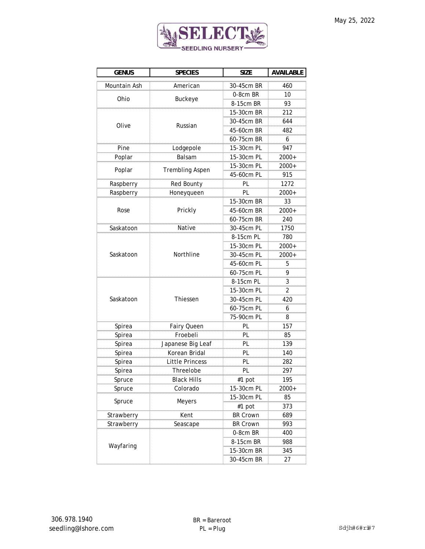

| <b>GENUS</b> | <b>SPECIES</b>         | <b>SIZE</b>     | <b>AVAILABLE</b> |
|--------------|------------------------|-----------------|------------------|
| Mountain Ash | American               | 30-45cm BR      | 460              |
| Ohio         |                        | 0-8cm BR        | 10               |
|              | <b>Buckeye</b>         | 8-15cm BR       | 93               |
|              | Russian                | 15-30cm BR      | 212              |
|              |                        | 30-45cm BR      | 644              |
| Olive        |                        | 45-60cm BR      | 482              |
|              |                        | 60-75cm BR      | 6                |
| Pine         | Lodgepole              | 15-30cm PL      | 947              |
| Poplar       | Balsam                 | 15-30cm PL      | $2000+$          |
|              | <b>Trembling Aspen</b> | 15-30cm PL      | 2000+            |
| Poplar       |                        | 45-60cm PL      | 915              |
| Raspberry    | Red Bounty             | PL              | 1272             |
| Raspberry    | Honeyqueen             | PL              | 2000+            |
|              |                        | 15-30cm BR      | 33               |
| Rose         | Prickly                | 45-60cm BR      | $2000+$          |
|              |                        | 60-75cm BR      | 240              |
| Saskatoon    | Native                 | 30-45cm PL      | 1750             |
|              |                        | 8-15cm PL       | 780              |
|              |                        | 15-30cm PL      | 2000+            |
| Saskatoon    | Northline              | 30-45cm PL      | $2000+$          |
|              |                        | 45-60cm PL      | 5                |
|              |                        | 60-75cm PL      | 9                |
|              | Thiessen               | 8-15cm PL       | 3                |
|              |                        | 15-30cm PL      | $\overline{2}$   |
| Saskatoon    |                        | 30-45cm PL      | 420              |
|              |                        | 60-75cm PL      | 6                |
|              |                        | 75-90cm PL      | 8                |
| Spirea       | Fairy Queen            | PL              | 157              |
| Spirea       | Froebeli               | PL              | 85               |
| Spirea       | Japanese Big Leaf      | PL              | 139              |
| Spirea       | Korean Bridal          | PL              | 140              |
| Spirea       | <b>Little Princess</b> | PL              | 282              |
| Spirea       | Threelobe              | PL              | 297              |
| spruce       | <b>Black Hills</b>     | #ιpοτ           | 195              |
| Spruce       | Colorado               | 15-30cm PL      | 2000+            |
| Spruce       | <b>Meyers</b>          | 15-30cm PL      | 85               |
|              |                        | #1 pot          | 373              |
| Strawberry   | Kent                   | <b>BR Crown</b> | 689              |
| Strawberry   | Seascape               | <b>BR Crown</b> | 993              |
| Wayfaring    |                        | 0-8cm BR        | 400              |
|              |                        | 8-15cm BR       | 988              |
|              |                        | 15-30cm BR      | 345              |
|              |                        | 30-45cm BR      | 27               |